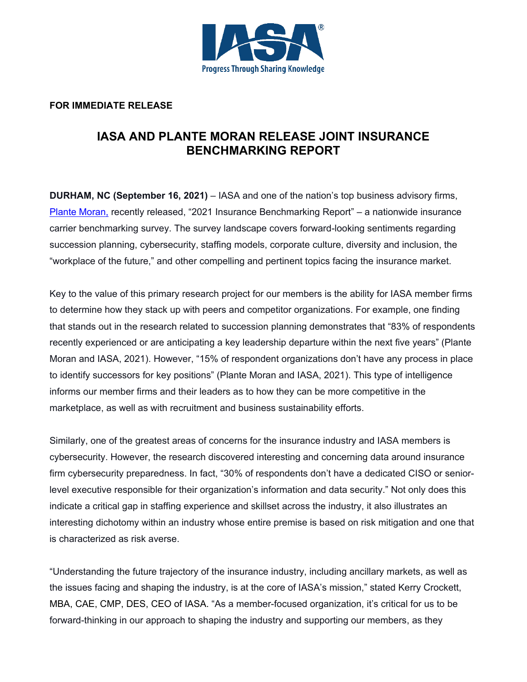

## **FOR IMMEDIATE RELEASE**

## **IASA AND PLANTE MORAN RELEASE JOINT INSURANCE BENCHMARKING REPORT**

**DURHAM, NC (September 16, 2021)** – IASA and one of the nation's top business advisory firms, [Plante Moran,](https://www.plantemoran.com/) recently released, "2021 Insurance Benchmarking Report" – a nationwide insurance carrier benchmarking survey. The survey landscape covers forward-looking sentiments regarding succession planning, cybersecurity, staffing models, corporate culture, diversity and inclusion, the "workplace of the future," and other compelling and pertinent topics facing the insurance market.

Key to the value of this primary research project for our members is the ability for IASA member firms to determine how they stack up with peers and competitor organizations. For example, one finding that stands out in the research related to succession planning demonstrates that "83% of respondents recently experienced or are anticipating a key leadership departure within the next five years" (Plante Moran and IASA, 2021). However, "15% of respondent organizations don't have any process in place to identify successors for key positions" (Plante Moran and IASA, 2021). This type of intelligence informs our member firms and their leaders as to how they can be more competitive in the marketplace, as well as with recruitment and business sustainability efforts.

Similarly, one of the greatest areas of concerns for the insurance industry and IASA members is cybersecurity. However, the research discovered interesting and concerning data around insurance firm cybersecurity preparedness. In fact, "30% of respondents don't have a dedicated CISO or seniorlevel executive responsible for their organization's information and data security." Not only does this indicate a critical gap in staffing experience and skillset across the industry, it also illustrates an interesting dichotomy within an industry whose entire premise is based on risk mitigation and one that is characterized as risk averse.

"Understanding the future trajectory of the insurance industry, including ancillary markets, as well as the issues facing and shaping the industry, is at the core of IASA's mission," stated Kerry Crockett, MBA, CAE, CMP, DES, CEO of IASA. "As a member-focused organization, it's critical for us to be forward-thinking in our approach to shaping the industry and supporting our members, as they